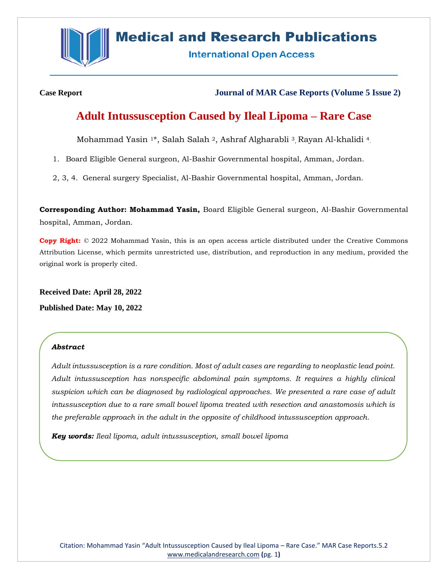

# **Medical and Research Publications**

**International Open Access** 

**Case Report Journal of MAR Case Reports (Volume 5 Issue 2)**

# **Adult Intussusception Caused by Ileal Lipoma – Rare Case**

Mohammad Yasin <sup>1\*</sup>, Salah Salah <sup>2</sup>, Ashraf Algharabli <sup>3</sup>, Rayan Al-khalidi <sup>4</sup>.

1. Board Eligible General surgeon, Al-Bashir Governmental hospital, Amman, Jordan.

2, 3, 4. General surgery Specialist, Al-Bashir Governmental hospital, Amman, Jordan.

**Corresponding Author: Mohammad Yasin,** Board Eligible General surgeon, Al-Bashir Governmental hospital, Amman, Jordan.

**Copy Right:** © 2022 Mohammad Yasin, this is an open access article distributed under the Creative Commons Attribution License, which permits unrestricted use, distribution, and reproduction in any medium, provided the original work is properly cited.

**Received Date: April 28, 2022 Published Date: May 10, 2022**

#### *Abstract*

*Adult intussusception is a rare condition. Most of adult cases are regarding to neoplastic lead point. Adult intussusception has nonspecific abdominal pain symptoms. It requires a highly clinical suspicion which can be diagnosed by radiological approaches. We presented a rare case of adult intussusception due to a rare small bowel lipoma treated with resection and anastomosis which is the preferable approach in the adult in the opposite of childhood intussusception approach.* 

*Key words: Ileal lipoma, adult intussusception, small bowel lipoma*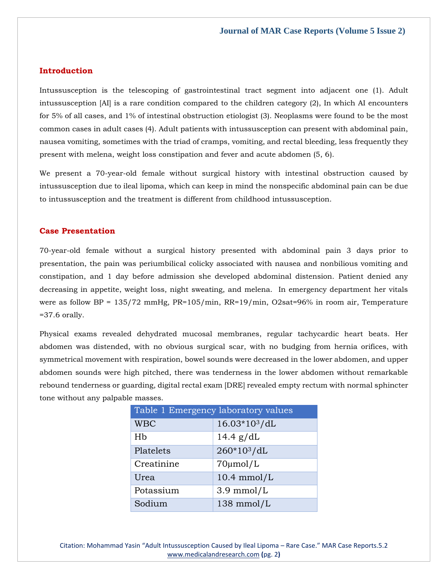#### **Introduction**

Intussusception is the telescoping of gastrointestinal tract segment into adjacent one (1). Adult intussusception [AI] is a rare condition compared to the children category (2), In which AI encounters for 5% of all cases, and 1% of intestinal obstruction etiologist (3). Neoplasms were found to be the most common cases in adult cases (4). Adult patients with intussusception can present with abdominal pain, nausea vomiting, sometimes with the triad of cramps, vomiting, and rectal bleeding, less frequently they present with melena, weight loss constipation and fever and acute abdomen (5, 6).

We present a 70-year-old female without surgical history with intestinal obstruction caused by intussusception due to ileal lipoma, which can keep in mind the nonspecific abdominal pain can be due to intussusception and the treatment is different from childhood intussusception.

#### **Case Presentation**

70-year-old female without a surgical history presented with abdominal pain 3 days prior to presentation, the pain was periumbilical colicky associated with nausea and nonbilious vomiting and constipation, and 1 day before admission she developed abdominal distension. Patient denied any decreasing in appetite, weight loss, night sweating, and melena. In emergency department her vitals were as follow BP = 135/72 mmHg, PR=105/min, RR=19/min, O2sat=96% in room air, Temperature  $=37.6$  orally.

Physical exams revealed dehydrated mucosal membranes, regular tachycardic heart beats. Her abdomen was distended, with no obvious surgical scar, with no budging from hernia orifices, with symmetrical movement with respiration, bowel sounds were decreased in the lower abdomen, and upper abdomen sounds were high pitched, there was tenderness in the lower abdomen without remarkable rebound tenderness or guarding, digital rectal exam [DRE] revealed empty rectum with normal sphincter tone without any palpable masses.

| Table 1 Emergency laboratory values |                         |
|-------------------------------------|-------------------------|
| <b>WBC</b>                          | $16.03*103/dL$          |
| Hb                                  | 14.4 $g/dL$             |
| Platelets                           | 260*10 <sup>3</sup> /dL |
| Creatinine                          | $70 \mu$ mol/L          |
| Urea                                | $10.4$ mmol/L           |
| Potassium                           | $3.9 \text{ mmol/L}$    |
| Sodium                              | 138 mmol/L              |

Citation: Mohammad Yasin "Adult Intussusception Caused by Ileal Lipoma – Rare Case." MAR Case Reports.5.2 [www.medicalandresearch.com](http://www.medicalandresearch.com/) **(**pg. 2**)**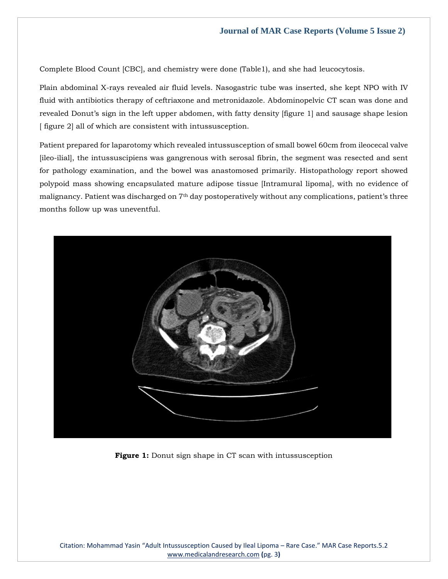Complete Blood Count [CBC], and chemistry were done (Table1), and she had leucocytosis.

Plain abdominal X-rays revealed air fluid levels. Nasogastric tube was inserted, she kept NPO with IV fluid with antibiotics therapy of ceftriaxone and metronidazole. Abdominopelvic CT scan was done and revealed Donut's sign in the left upper abdomen, with fatty density [figure 1] and sausage shape lesion [ figure 2] all of which are consistent with intussusception.

Patient prepared for laparotomy which revealed intussusception of small bowel 60cm from ileocecal valve [ileo-ilial], the intussuscipiens was gangrenous with serosal fibrin, the segment was resected and sent for pathology examination, and the bowel was anastomosed primarily. Histopathology report showed polypoid mass showing encapsulated mature adipose tissue [Intramural lipoma], with no evidence of malignancy. Patient was discharged on 7th day postoperatively without any complications, patient's three months follow up was uneventful.



**Figure 1:** Donut sign shape in CT scan with intussusception

Citation: Mohammad Yasin "Adult Intussusception Caused by Ileal Lipoma – Rare Case." MAR Case Reports.5.2 [www.medicalandresearch.com](http://www.medicalandresearch.com/) **(**pg. 3**)**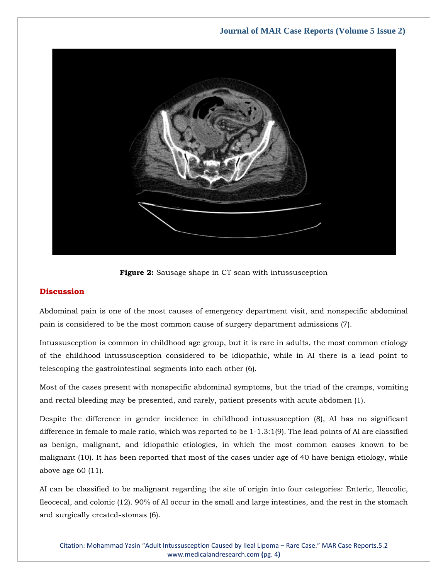### **Journal of MAR Case Reports (Volume 5 Issue 2)**



**Figure 2:** Sausage shape in CT scan with intussusception

#### **Discussion**

Abdominal pain is one of the most causes of emergency department visit, and nonspecific abdominal pain is considered to be the most common cause of surgery department admissions (7).

Intussusception is common in childhood age group, but it is rare in adults, the most common etiology of the childhood intussusception considered to be idiopathic, while in AI there is a lead point to telescoping the gastrointestinal segments into each other (6).

Most of the cases present with nonspecific abdominal symptoms, but the triad of the cramps, vomiting and rectal bleeding may be presented, and rarely, patient presents with acute abdomen (1).

Despite the difference in gender incidence in childhood intussusception (8), AI has no significant difference in female to male ratio, which was reported to be 1-1.3:1(9). The lead points of AI are classified as benign, malignant, and idiopathic etiologies, in which the most common causes known to be malignant (10). It has been reported that most of the cases under age of 40 have benign etiology, while above age 60 (11).

AI can be classified to be malignant regarding the site of origin into four categories: Enteric, Ileocolic, Ileocecal, and colonic (12). 90% of AI occur in the small and large intestines, and the rest in the stomach and surgically created-stomas (6).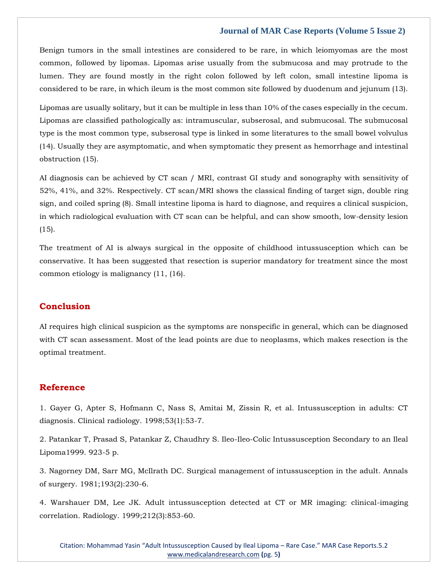#### **Journal of MAR Case Reports (Volume 5 Issue 2)**

Benign tumors in the small intestines are considered to be rare, in which leiomyomas are the most common, followed by lipomas. Lipomas arise usually from the submucosa and may protrude to the lumen. They are found mostly in the right colon followed by left colon, small intestine lipoma is considered to be rare, in which ileum is the most common site followed by duodenum and jejunum (13).

Lipomas are usually solitary, but it can be multiple in less than 10% of the cases especially in the cecum. Lipomas are classified pathologically as: intramuscular, subserosal, and submucosal. The submucosal type is the most common type, subserosal type is linked in some literatures to the small bowel volvulus (14). Usually they are asymptomatic, and when symptomatic they present as hemorrhage and intestinal obstruction (15).

AI diagnosis can be achieved by CT scan / MRI, contrast GI study and sonography with sensitivity of 52%, 41%, and 32%. Respectively. CT scan/MRI shows the classical finding of target sign, double ring sign, and coiled spring (8). Small intestine lipoma is hard to diagnose, and requires a clinical suspicion, in which radiological evaluation with CT scan can be helpful, and can show smooth, low-density lesion (15).

The treatment of AI is always surgical in the opposite of childhood intussusception which can be conservative. It has been suggested that resection is superior mandatory for treatment since the most common etiology is malignancy (11, (16).

## **Conclusion**

AI requires high clinical suspicion as the symptoms are nonspecific in general, which can be diagnosed with CT scan assessment. Most of the lead points are due to neoplasms, which makes resection is the optimal treatment.

#### **Reference**

1. [Gayer G, Apter S, Hofmann C, Nass S, Amitai M, Zissin R, et al. Intussusception in adults: CT](https://www.google.com/search?q=Intussusception+in+adults%3A+CT+diagnosis&sxsrf=ALiCzsZPIyUqEy8BZmMyeNNoDWrkJn35PA%3A1651294899626&ei=s8JsYsz2JbWdseMPh4qYwAg&ved=0ahUKEwiMnKXvgLv3AhW1TmwGHQcFBogQ4dUDCA4&uact=5&oq=Intussusception+in+adults%3A+CT+diagnosis&gs_lcp=Cgdnd3Mtd2l6EAMyBggAEBYQHjoHCCMQ6gIQJ0oECEEYAEoECEYYAFD-A1j-A2CRCGgBcAF4AIABXogBXpIBATGYAQCgAQGgAQKwAQrAAQE&sclient=gws-wiz)  [diagnosis. Clinical radiology. 1998;53\(1\):53-7.](https://www.google.com/search?q=Intussusception+in+adults%3A+CT+diagnosis&sxsrf=ALiCzsZPIyUqEy8BZmMyeNNoDWrkJn35PA%3A1651294899626&ei=s8JsYsz2JbWdseMPh4qYwAg&ved=0ahUKEwiMnKXvgLv3AhW1TmwGHQcFBogQ4dUDCA4&uact=5&oq=Intussusception+in+adults%3A+CT+diagnosis&gs_lcp=Cgdnd3Mtd2l6EAMyBggAEBYQHjoHCCMQ6gIQJ0oECEEYAEoECEYYAFD-A1j-A2CRCGgBcAF4AIABXogBXpIBATGYAQCgAQGgAQKwAQrAAQE&sclient=gws-wiz)

2. [Patankar T, Prasad S, Patankar Z, Chaudhry S. Ileo-Ileo-Colic Intussusception Secondary to an Ileal](https://www.google.com/search?q=Ileo-Ileo-Colic+Intussusception+Secondary+to+an+Ileal+Lipoma1999&sxsrf=ALiCzsbsvCLK1JHIDTj3O6f4bseJGmykYA%3A1651301562884&ei=utxsYuTdNeCSseMP6ruuiAw&ved=0ahUKEwjkosrYmbv3AhVgSWwGHeqdC8EQ4dUDCA4&oq=Ileo-Ileo-Colic+Intussusception+Secondary+to+an+Ileal+Lipoma1999&gs_lcp=Cgdnd3Mtd2l6EAw6BwgAEEcQsAM6BwgjEOoCECdKBAhBGABKBAhGGABQ-wNY-wNg_QloAnABeACAAaMEiAGjBJIBAzUtMZgBAKABAaABArABCsgBCMABAQ&sclient=gws-wiz)  [Lipoma1999. 923-5 p.](https://www.google.com/search?q=Ileo-Ileo-Colic+Intussusception+Secondary+to+an+Ileal+Lipoma1999&sxsrf=ALiCzsbsvCLK1JHIDTj3O6f4bseJGmykYA%3A1651301562884&ei=utxsYuTdNeCSseMP6ruuiAw&ved=0ahUKEwjkosrYmbv3AhVgSWwGHeqdC8EQ4dUDCA4&oq=Ileo-Ileo-Colic+Intussusception+Secondary+to+an+Ileal+Lipoma1999&gs_lcp=Cgdnd3Mtd2l6EAw6BwgAEEcQsAM6BwgjEOoCECdKBAhBGABKBAhGGABQ-wNY-wNg_QloAnABeACAAaMEiAGjBJIBAzUtMZgBAKABAaABArABCsgBCMABAQ&sclient=gws-wiz)

3. Nagorney DM, Sarr [MG, McIlrath DC. Surgical management of intussusception in the adult. Annals](https://www.google.com/search?q=Surgical+management+of+intussusception+in+the+adult&sxsrf=ALiCzsY1rQwcxSBQHqKxMieiOvEqug6o3Q%3A1651301598669&ei=3txsYsrBKJCYseMP4tWd-AI&ved=0ahUKEwjKqNLpmbv3AhUQTGwGHeJqBy8Q4dUDCA4&oq=Surgical+management+of+intussusception+in+the+adult&gs_lcp=Cgdnd3Mtd2l6EAwyBggAEBYQHjoHCCMQ6gIQJ0oECEEYAEoECEYYAFBLWEtgzAhoAXAAeACAAWGIAWGSAQExmAEAoAEBoAECsAEKwAEB&sclient=gws-wiz)  [of surgery. 1981;193\(2\):230-6.](https://www.google.com/search?q=Surgical+management+of+intussusception+in+the+adult&sxsrf=ALiCzsY1rQwcxSBQHqKxMieiOvEqug6o3Q%3A1651301598669&ei=3txsYsrBKJCYseMP4tWd-AI&ved=0ahUKEwjKqNLpmbv3AhUQTGwGHeJqBy8Q4dUDCA4&oq=Surgical+management+of+intussusception+in+the+adult&gs_lcp=Cgdnd3Mtd2l6EAwyBggAEBYQHjoHCCMQ6gIQJ0oECEEYAEoECEYYAFBLWEtgzAhoAXAAeACAAWGIAWGSAQExmAEAoAEBoAECsAEKwAEB&sclient=gws-wiz)

4. [Warshauer DM, Lee JK. Adult intussusception detected at CT or MR imaging: clinical-imaging](https://www.google.com/search?q=Adult+intussusception+detected+at+CT+or+MR+imaging%3A+clinical-imaging+correlation.&sxsrf=ALiCzsYP43dI0SzWNYquXVLKr8MoKeS5rg%3A1651301613240&ei=7dxsYvCtDsyfseMP9pWm4AE&ved=0ahUKEwiw2Mvwmbv3AhXMT2wGHfaKCRwQ4dUDCA4&oq=Adult+intussusception+detected+at+CT+or+MR+imaging%3A+clinical-imaging+correlation.&gs_lcp=Cgdnd3Mtd2l6EAw6BwgjEOoCECdKBAhBGABKBAhGGABQ6gJY6gJgtwZoAXABeACAAWiIAWiSAQMwLjGYAQCgAQGgAQKwAQrAAQE&sclient=gws-wiz)  [correlation. Radiology. 1999;212\(3\):853-60.](https://www.google.com/search?q=Adult+intussusception+detected+at+CT+or+MR+imaging%3A+clinical-imaging+correlation.&sxsrf=ALiCzsYP43dI0SzWNYquXVLKr8MoKeS5rg%3A1651301613240&ei=7dxsYvCtDsyfseMP9pWm4AE&ved=0ahUKEwiw2Mvwmbv3AhXMT2wGHfaKCRwQ4dUDCA4&oq=Adult+intussusception+detected+at+CT+or+MR+imaging%3A+clinical-imaging+correlation.&gs_lcp=Cgdnd3Mtd2l6EAw6BwgjEOoCECdKBAhBGABKBAhGGABQ6gJY6gJgtwZoAXABeACAAWiIAWiSAQMwLjGYAQCgAQGgAQKwAQrAAQE&sclient=gws-wiz)